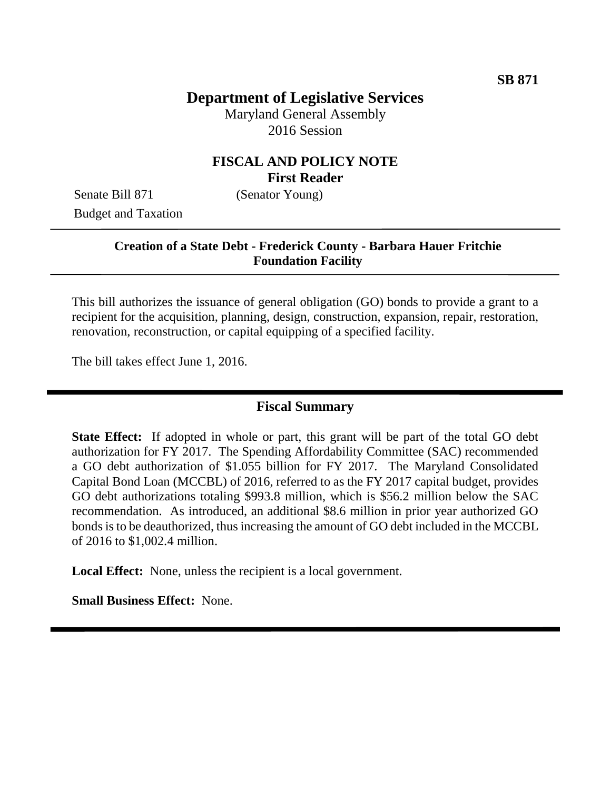# **Department of Legislative Services**

Maryland General Assembly 2016 Session

### **FISCAL AND POLICY NOTE First Reader**

Senate Bill 871 (Senator Young) Budget and Taxation

### **Creation of a State Debt - Frederick County - Barbara Hauer Fritchie Foundation Facility**

This bill authorizes the issuance of general obligation (GO) bonds to provide a grant to a recipient for the acquisition, planning, design, construction, expansion, repair, restoration, renovation, reconstruction, or capital equipping of a specified facility.

The bill takes effect June 1, 2016.

#### **Fiscal Summary**

**State Effect:** If adopted in whole or part, this grant will be part of the total GO debt authorization for FY 2017. The Spending Affordability Committee (SAC) recommended a GO debt authorization of \$1.055 billion for FY 2017. The Maryland Consolidated Capital Bond Loan (MCCBL) of 2016, referred to as the FY 2017 capital budget, provides GO debt authorizations totaling \$993.8 million, which is \$56.2 million below the SAC recommendation. As introduced, an additional \$8.6 million in prior year authorized GO bonds is to be deauthorized, thus increasing the amount of GO debt included in the MCCBL of 2016 to \$1,002.4 million.

**Local Effect:** None, unless the recipient is a local government.

**Small Business Effect:** None.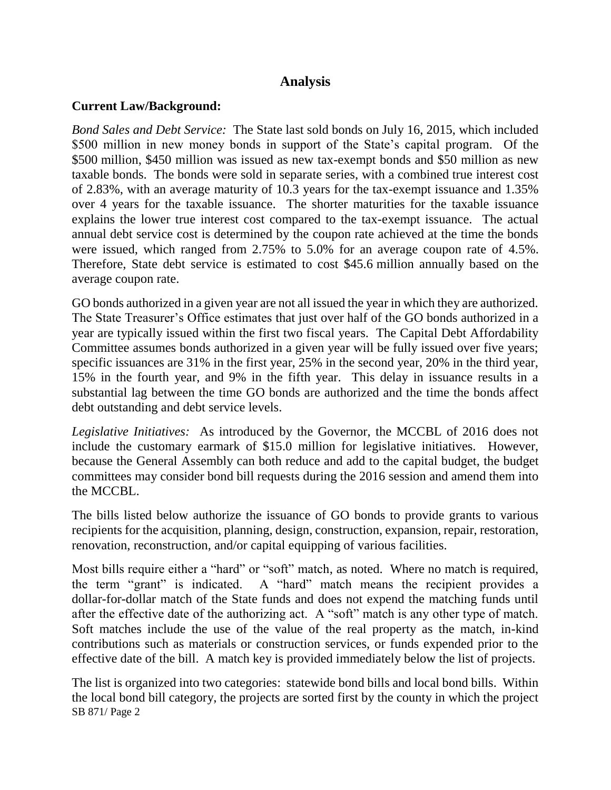## **Analysis**

#### **Current Law/Background:**

*Bond Sales and Debt Service:* The State last sold bonds on July 16, 2015, which included \$500 million in new money bonds in support of the State's capital program. Of the \$500 million, \$450 million was issued as new tax-exempt bonds and \$50 million as new taxable bonds. The bonds were sold in separate series, with a combined true interest cost of 2.83%, with an average maturity of 10.3 years for the tax-exempt issuance and 1.35% over 4 years for the taxable issuance. The shorter maturities for the taxable issuance explains the lower true interest cost compared to the tax-exempt issuance. The actual annual debt service cost is determined by the coupon rate achieved at the time the bonds were issued, which ranged from 2.75% to 5.0% for an average coupon rate of 4.5%. Therefore, State debt service is estimated to cost \$45.6 million annually based on the average coupon rate.

GO bonds authorized in a given year are not all issued the year in which they are authorized. The State Treasurer's Office estimates that just over half of the GO bonds authorized in a year are typically issued within the first two fiscal years. The Capital Debt Affordability Committee assumes bonds authorized in a given year will be fully issued over five years; specific issuances are 31% in the first year, 25% in the second year, 20% in the third year, 15% in the fourth year, and 9% in the fifth year. This delay in issuance results in a substantial lag between the time GO bonds are authorized and the time the bonds affect debt outstanding and debt service levels.

*Legislative Initiatives:* As introduced by the Governor, the MCCBL of 2016 does not include the customary earmark of \$15.0 million for legislative initiatives. However, because the General Assembly can both reduce and add to the capital budget, the budget committees may consider bond bill requests during the 2016 session and amend them into the MCCBL.

The bills listed below authorize the issuance of GO bonds to provide grants to various recipients for the acquisition, planning, design, construction, expansion, repair, restoration, renovation, reconstruction, and/or capital equipping of various facilities.

Most bills require either a "hard" or "soft" match, as noted. Where no match is required, the term "grant" is indicated. A "hard" match means the recipient provides a dollar-for-dollar match of the State funds and does not expend the matching funds until after the effective date of the authorizing act. A "soft" match is any other type of match. Soft matches include the use of the value of the real property as the match, in-kind contributions such as materials or construction services, or funds expended prior to the effective date of the bill. A match key is provided immediately below the list of projects.

SB 871/ Page 2 The list is organized into two categories: statewide bond bills and local bond bills. Within the local bond bill category, the projects are sorted first by the county in which the project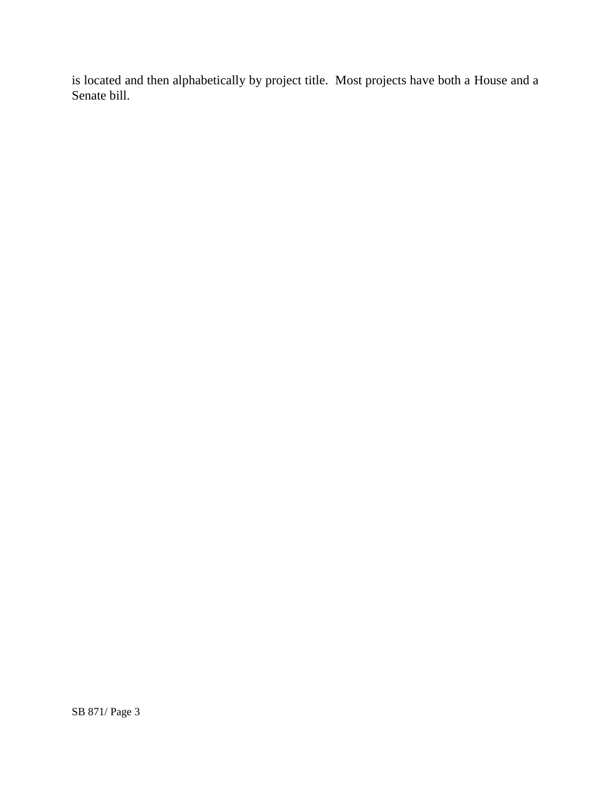is located and then alphabetically by project title. Most projects have both a House and a Senate bill.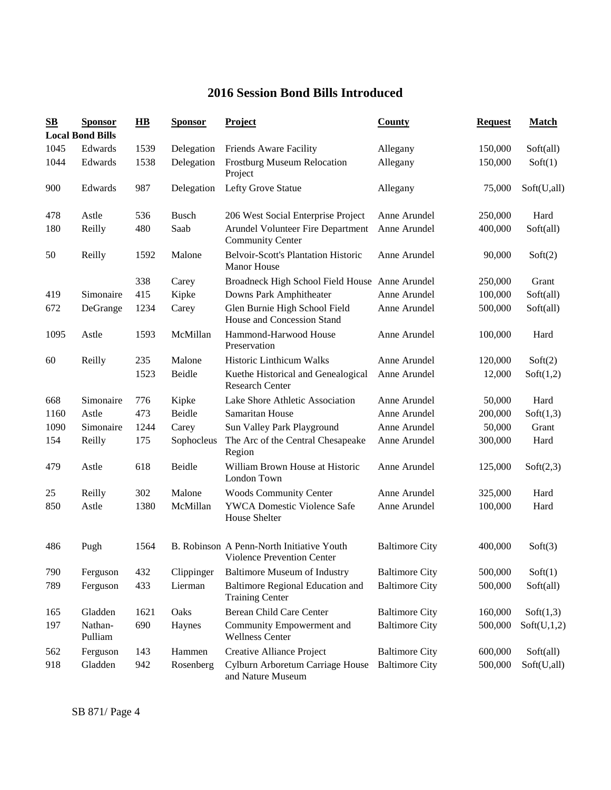## **2016 Session Bond Bills Introduced**

| $\mathbf{S}\mathbf{B}$ | <b>Sponsor</b><br><b>Local Bond Bills</b> | $\overline{HB}$ | <b>Sponsor</b> | <b>Project</b>                                                          | <b>County</b>         | <b>Request</b> | <b>Match</b> |
|------------------------|-------------------------------------------|-----------------|----------------|-------------------------------------------------------------------------|-----------------------|----------------|--------------|
| 1045                   | Edwards                                   | 1539            | Delegation     | Friends Aware Facility                                                  | Allegany              | 150,000        | Soft(all)    |
| 1044                   | Edwards                                   | 1538            | Delegation     | <b>Frostburg Museum Relocation</b><br>Project                           | Allegany              | 150,000        | Soft(1)      |
| 900                    | Edwards                                   | 987             | Delegation     | Lefty Grove Statue                                                      | Allegany              | 75,000         | Soft(U,all)  |
| 478                    | Astle                                     | 536             | <b>Busch</b>   | 206 West Social Enterprise Project                                      | Anne Arundel          | 250,000        | Hard         |
| 180                    | Reilly                                    | 480             | Saab           | Arundel Volunteer Fire Department<br><b>Community Center</b>            | Anne Arundel          | 400,000        | Soft(all)    |
| 50                     | Reilly                                    | 1592            | Malone         | <b>Belvoir-Scott's Plantation Historic</b><br><b>Manor House</b>        | Anne Arundel          | 90,000         | Soft(2)      |
|                        |                                           | 338             | Carey          | Broadneck High School Field House Anne Arundel                          |                       | 250,000        | Grant        |
| 419                    | Simonaire                                 | 415             | Kipke          | Downs Park Amphitheater                                                 | Anne Arundel          | 100,000        | Soft(all)    |
| 672                    | DeGrange                                  | 1234            | Carey          | Glen Burnie High School Field<br>House and Concession Stand             | Anne Arundel          | 500,000        | Soft(all)    |
| 1095                   | Astle                                     | 1593            | McMillan       | Hammond-Harwood House<br>Preservation                                   | Anne Arundel          | 100,000        | Hard         |
| 60                     | Reilly                                    | 235             | Malone         | Historic Linthicum Walks                                                | Anne Arundel          | 120,000        | Soft(2)      |
|                        |                                           | 1523            | Beidle         | Kuethe Historical and Genealogical<br><b>Research Center</b>            | Anne Arundel          | 12,000         | Soft(1,2)    |
| 668                    | Simonaire                                 | 776             | Kipke          | Lake Shore Athletic Association                                         | Anne Arundel          | 50,000         | Hard         |
| 1160                   | Astle                                     | 473             | Beidle         | Samaritan House                                                         | Anne Arundel          | 200,000        | Soft(1,3)    |
| 1090                   | Simonaire                                 | 1244            | Carey          | Sun Valley Park Playground                                              | Anne Arundel          | 50,000         | Grant        |
| 154                    | Reilly                                    | 175             | Sophocleus     | The Arc of the Central Chesapeake<br>Region                             | Anne Arundel          | 300,000        | Hard         |
| 479                    | Astle                                     | 618             | Beidle         | William Brown House at Historic<br>London Town                          | Anne Arundel          | 125,000        | Soft(2,3)    |
| 25                     | Reilly                                    | 302             | Malone         | <b>Woods Community Center</b>                                           | Anne Arundel          | 325,000        | Hard         |
| 850                    | Astle                                     | 1380            | McMillan       | <b>YWCA Domestic Violence Safe</b><br>House Shelter                     | Anne Arundel          | 100,000        | Hard         |
| 486                    | Pugh                                      | 1564            |                | B. Robinson A Penn-North Initiative Youth<br>Violence Prevention Center | <b>Baltimore City</b> | 400,000        | Soft(3)      |
| 790                    | Ferguson                                  | 432             | Clippinger     | <b>Baltimore Museum of Industry</b>                                     | <b>Baltimore City</b> | 500,000        | Soft(1)      |
| 789                    | Ferguson                                  | 433             | Lierman        | Baltimore Regional Education and<br><b>Training Center</b>              | <b>Baltimore City</b> | 500,000        | Soft(all)    |
| 165                    | Gladden                                   | 1621            | Oaks           | Berean Child Care Center                                                | <b>Baltimore City</b> | 160,000        | Soft(1,3)    |
| 197                    | Nathan-<br>Pulliam                        | 690             | Haynes         | Community Empowerment and<br><b>Wellness Center</b>                     | <b>Baltimore City</b> | 500,000        | Soft(U,1,2)  |
| 562                    | Ferguson                                  | 143             | Hammen         | Creative Alliance Project                                               | <b>Baltimore City</b> | 600,000        | Soft(all)    |
| 918                    | Gladden                                   | 942             | Rosenberg      | Cylburn Arboretum Carriage House<br>and Nature Museum                   | <b>Baltimore City</b> | 500,000        | Soft(U,all)  |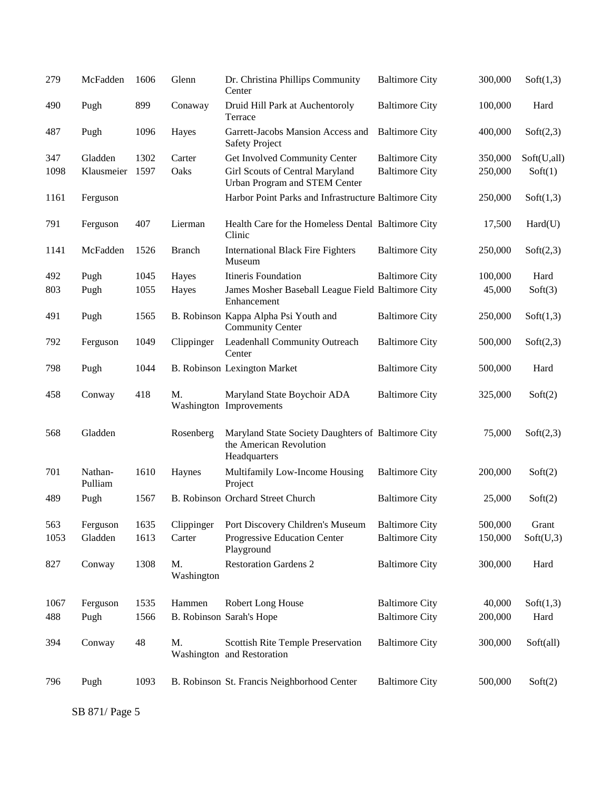| 279  | McFadden           | 1606 | Glenn            | Dr. Christina Phillips Community<br>Center                                                    | <b>Baltimore City</b> | 300,000 | Soft(1,3)   |
|------|--------------------|------|------------------|-----------------------------------------------------------------------------------------------|-----------------------|---------|-------------|
| 490  | Pugh               | 899  | Conaway          | Druid Hill Park at Auchentoroly<br>Terrace                                                    | <b>Baltimore City</b> | 100,000 | Hard        |
| 487  | Pugh               | 1096 | Hayes            | Garrett-Jacobs Mansion Access and<br><b>Safety Project</b>                                    | <b>Baltimore City</b> | 400,000 | Soft(2,3)   |
| 347  | Gladden            | 1302 | Carter           | Get Involved Community Center                                                                 | <b>Baltimore City</b> | 350,000 | Soft(U,all) |
| 1098 | Klausmeier         | 1597 | Oaks             | Girl Scouts of Central Maryland<br>Urban Program and STEM Center                              | <b>Baltimore City</b> | 250,000 | Soft(1)     |
| 1161 | Ferguson           |      |                  | Harbor Point Parks and Infrastructure Baltimore City                                          |                       | 250,000 | Soft(1,3)   |
| 791  | Ferguson           | 407  | Lierman          | Health Care for the Homeless Dental Baltimore City<br>Clinic                                  |                       | 17,500  | Hard(U)     |
| 1141 | McFadden           | 1526 | <b>Branch</b>    | <b>International Black Fire Fighters</b><br>Museum                                            | <b>Baltimore City</b> | 250,000 | Soft(2,3)   |
| 492  | Pugh               | 1045 | Hayes            | Itineris Foundation                                                                           | <b>Baltimore City</b> | 100,000 | Hard        |
| 803  | Pugh               | 1055 | Hayes            | James Mosher Baseball League Field Baltimore City<br>Enhancement                              |                       | 45,000  | Soft(3)     |
| 491  | Pugh               | 1565 |                  | B. Robinson Kappa Alpha Psi Youth and<br><b>Community Center</b>                              | <b>Baltimore City</b> | 250,000 | Soft(1,3)   |
| 792  | Ferguson           | 1049 | Clippinger       | Leadenhall Community Outreach<br>Center                                                       | <b>Baltimore City</b> | 500,000 | Soft(2,3)   |
| 798  | Pugh               | 1044 |                  | <b>B. Robinson Lexington Market</b>                                                           | <b>Baltimore City</b> | 500,000 | Hard        |
| 458  | Conway             | 418  | M.               | Maryland State Boychoir ADA<br>Washington Improvements                                        | <b>Baltimore City</b> | 325,000 | Soft(2)     |
| 568  | Gladden            |      | Rosenberg        | Maryland State Society Daughters of Baltimore City<br>the American Revolution<br>Headquarters |                       | 75,000  | Soft(2,3)   |
| 701  | Nathan-<br>Pulliam | 1610 | Haynes           | Multifamily Low-Income Housing<br>Project                                                     | <b>Baltimore City</b> | 200,000 | Soft(2)     |
| 489  | Pugh               | 1567 |                  | B. Robinson Orchard Street Church                                                             | <b>Baltimore City</b> | 25,000  | Soft(2)     |
| 563  | Ferguson           | 1635 | Clippinger       | Port Discovery Children's Museum                                                              | <b>Baltimore City</b> | 500,000 | Grant       |
| 1053 | Gladden            | 1613 | Carter           | Progressive Education Center<br>Playground                                                    | <b>Baltimore City</b> | 150,000 | Soft(U,3)   |
| 827  | Conway             | 1308 | M.<br>Washington | <b>Restoration Gardens 2</b>                                                                  | <b>Baltimore City</b> | 300,000 | Hard        |
| 1067 | Ferguson           | 1535 | Hammen           | Robert Long House                                                                             | <b>Baltimore City</b> | 40,000  | Soft(1,3)   |
| 488  | Pugh               | 1566 |                  | B. Robinson Sarah's Hope                                                                      | <b>Baltimore City</b> | 200,000 | Hard        |
|      |                    |      |                  |                                                                                               |                       |         |             |
| 394  | Conway             | 48   | M.               | <b>Scottish Rite Temple Preservation</b><br>Washington and Restoration                        | <b>Baltimore City</b> | 300,000 | Soft(all)   |
| 796  | Pugh               | 1093 |                  | B. Robinson St. Francis Neighborhood Center                                                   | <b>Baltimore City</b> | 500,000 | Soft(2)     |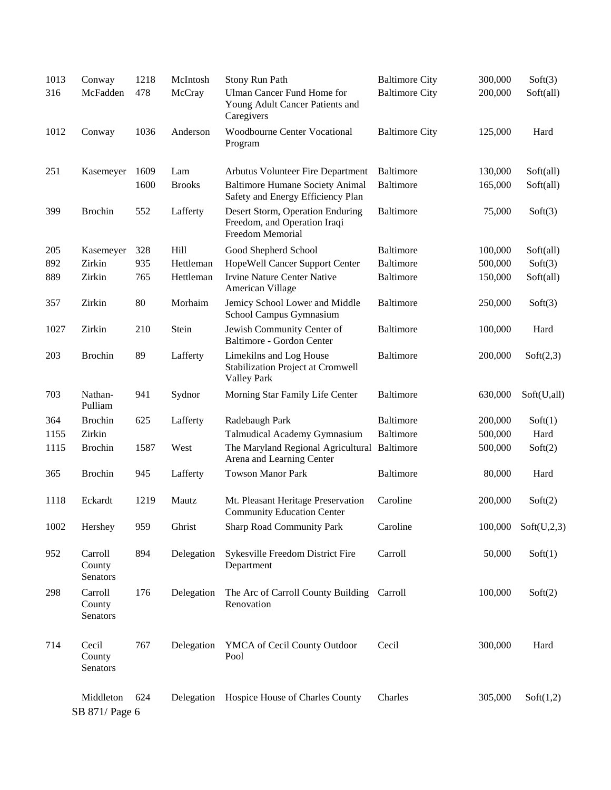| 1013 | Conway                        | 1218 | McIntosh      | Stony Run Path                                                                       | <b>Baltimore City</b> | 300,000 | Soft(3)     |
|------|-------------------------------|------|---------------|--------------------------------------------------------------------------------------|-----------------------|---------|-------------|
| 316  | McFadden                      | 478  | McCray        | <b>Ulman Cancer Fund Home for</b><br>Young Adult Cancer Patients and<br>Caregivers   | <b>Baltimore City</b> | 200,000 | Soft(all)   |
| 1012 | Conway                        | 1036 | Anderson      | <b>Woodbourne Center Vocational</b><br>Program                                       | <b>Baltimore City</b> | 125,000 | Hard        |
| 251  | Kasemeyer                     | 1609 | Lam           | Arbutus Volunteer Fire Department                                                    | Baltimore             | 130,000 | Soft(all)   |
|      |                               | 1600 | <b>Brooks</b> | <b>Baltimore Humane Society Animal</b><br>Safety and Energy Efficiency Plan          | <b>Baltimore</b>      | 165,000 | Soft(all)   |
| 399  | <b>Brochin</b>                | 552  | Lafferty      | Desert Storm, Operation Enduring<br>Freedom, and Operation Iraqi<br>Freedom Memorial | <b>Baltimore</b>      | 75,000  | Soft(3)     |
| 205  | Kasemeyer                     | 328  | Hill          | Good Shepherd School                                                                 | Baltimore             | 100,000 | Soft(all)   |
| 892  | Zirkin                        | 935  | Hettleman     | HopeWell Cancer Support Center                                                       | <b>Baltimore</b>      | 500,000 | Soft(3)     |
| 889  | Zirkin                        | 765  | Hettleman     | <b>Irvine Nature Center Native</b><br>American Village                               | <b>Baltimore</b>      | 150,000 | Soft(all)   |
| 357  | Zirkin                        | 80   | Morhaim       | Jemicy School Lower and Middle<br>School Campus Gymnasium                            | <b>Baltimore</b>      | 250,000 | Soft(3)     |
| 1027 | Zirkin                        | 210  | Stein         | Jewish Community Center of<br>Baltimore - Gordon Center                              | <b>Baltimore</b>      | 100,000 | Hard        |
| 203  | <b>Brochin</b>                | 89   | Lafferty      | Limekilns and Log House<br>Stabilization Project at Cromwell<br><b>Valley Park</b>   | <b>Baltimore</b>      | 200,000 | Soft(2,3)   |
| 703  | Nathan-<br>Pulliam            | 941  | Sydnor        | Morning Star Family Life Center                                                      | <b>Baltimore</b>      | 630,000 | Soft(U,all) |
| 364  | <b>Brochin</b>                | 625  | Lafferty      | Radebaugh Park                                                                       | <b>Baltimore</b>      | 200,000 | Soft(1)     |
| 1155 | Zirkin                        |      |               | Talmudical Academy Gymnasium                                                         | <b>Baltimore</b>      | 500,000 | Hard        |
| 1115 | <b>Brochin</b>                | 1587 | West          | The Maryland Regional Agricultural Baltimore<br>Arena and Learning Center            |                       | 500,000 | Soft(2)     |
| 365  | <b>Brochin</b>                | 945  | Lafferty      | <b>Towson Manor Park</b>                                                             | <b>Baltimore</b>      | 80,000  | Hard        |
| 1118 | Eckardt                       | 1219 | Mautz         | Mt. Pleasant Heritage Preservation<br><b>Community Education Center</b>              | Caroline              | 200,000 | Soft(2)     |
| 1002 | Hershey                       | 959  | Ghrist        | <b>Sharp Road Community Park</b>                                                     | Caroline              | 100,000 | Soft(U,2,3) |
| 952  | Carroll<br>County<br>Senators | 894  | Delegation    | Sykesville Freedom District Fire<br>Department                                       | Carroll               | 50,000  | Soft(1)     |
| 298  | Carroll<br>County<br>Senators | 176  | Delegation    | The Arc of Carroll County Building Carroll<br>Renovation                             |                       | 100,000 | Soft(2)     |
| 714  | Cecil<br>County<br>Senators   | 767  | Delegation    | YMCA of Cecil County Outdoor<br>Pool                                                 | Cecil                 | 300,000 | Hard        |
|      | Middleton<br>SB 871/ Page 6   | 624  | Delegation    | Hospice House of Charles County                                                      | Charles               | 305,000 | Soft(1,2)   |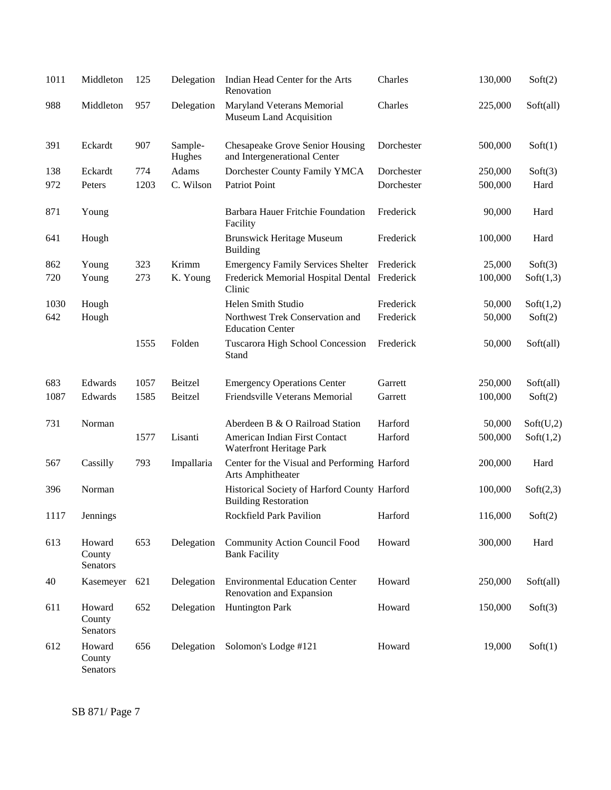| 1011 | Middleton                    | 125  | Delegation        | Indian Head Center for the Arts<br>Renovation                               | Charles    | 130,000 | Soft(2)   |
|------|------------------------------|------|-------------------|-----------------------------------------------------------------------------|------------|---------|-----------|
| 988  | Middleton                    | 957  | Delegation        | Maryland Veterans Memorial<br>Museum Land Acquisition                       | Charles    | 225,000 | Soft(all) |
| 391  | Eckardt                      | 907  | Sample-<br>Hughes | <b>Chesapeake Grove Senior Housing</b><br>and Intergenerational Center      | Dorchester | 500,000 | Soft(1)   |
| 138  | Eckardt                      | 774  | Adams             | Dorchester County Family YMCA                                               | Dorchester | 250,000 | Soft(3)   |
| 972  | Peters                       | 1203 | C. Wilson         | Patriot Point                                                               | Dorchester | 500,000 | Hard      |
| 871  | Young                        |      |                   | Barbara Hauer Fritchie Foundation<br>Facility                               | Frederick  | 90,000  | Hard      |
| 641  | Hough                        |      |                   | <b>Brunswick Heritage Museum</b><br><b>Building</b>                         | Frederick  | 100,000 | Hard      |
| 862  | Young                        | 323  | Krimm             | <b>Emergency Family Services Shelter</b>                                    | Frederick  | 25,000  | Soft(3)   |
| 720  | Young                        | 273  | K. Young          | Frederick Memorial Hospital Dental Frederick<br>Clinic                      |            | 100,000 | Soft(1,3) |
| 1030 | Hough                        |      |                   | Helen Smith Studio                                                          | Frederick  | 50,000  | Soft(1,2) |
| 642  | Hough                        |      |                   | Northwest Trek Conservation and<br><b>Education Center</b>                  | Frederick  | 50,000  | Soft(2)   |
|      |                              | 1555 | Folden            | Tuscarora High School Concession<br>Stand                                   | Frederick  | 50,000  | Soft(all) |
| 683  | Edwards                      | 1057 | Beitzel           | <b>Emergency Operations Center</b>                                          | Garrett    | 250,000 | Soft(all) |
| 1087 | Edwards                      | 1585 | Beitzel           | Friendsville Veterans Memorial                                              | Garrett    | 100,000 | Soft(2)   |
| 731  | Norman                       |      |                   | Aberdeen B & O Railroad Station                                             | Harford    | 50,000  | Soft(U,2) |
|      |                              | 1577 | Lisanti           | American Indian First Contact<br>Waterfront Heritage Park                   | Harford    | 500,000 | Soft(1,2) |
| 567  | Cassilly                     | 793  | Impallaria        | Center for the Visual and Performing Harford<br>Arts Amphitheater           |            | 200,000 | Hard      |
| 396  | Norman                       |      |                   | Historical Society of Harford County Harford<br><b>Building Restoration</b> |            | 100,000 | Soft(2,3) |
| 1117 | Jennings                     |      |                   | Rockfield Park Pavilion                                                     | Harford    | 116,000 | Soft(2)   |
| 613  | Howard<br>County<br>Senators | 653  | Delegation        | <b>Community Action Council Food</b><br><b>Bank Facility</b>                | Howard     | 300,000 | Hard      |
| 40   | Kasemeyer                    | 621  | Delegation        | <b>Environmental Education Center</b><br>Renovation and Expansion           | Howard     | 250,000 | Soft(all) |
| 611  | Howard<br>County<br>Senators | 652  | Delegation        | <b>Huntington Park</b>                                                      | Howard     | 150,000 | Soft(3)   |
| 612  | Howard<br>County<br>Senators | 656  | Delegation        | Solomon's Lodge #121                                                        | Howard     | 19,000  | Soft(1)   |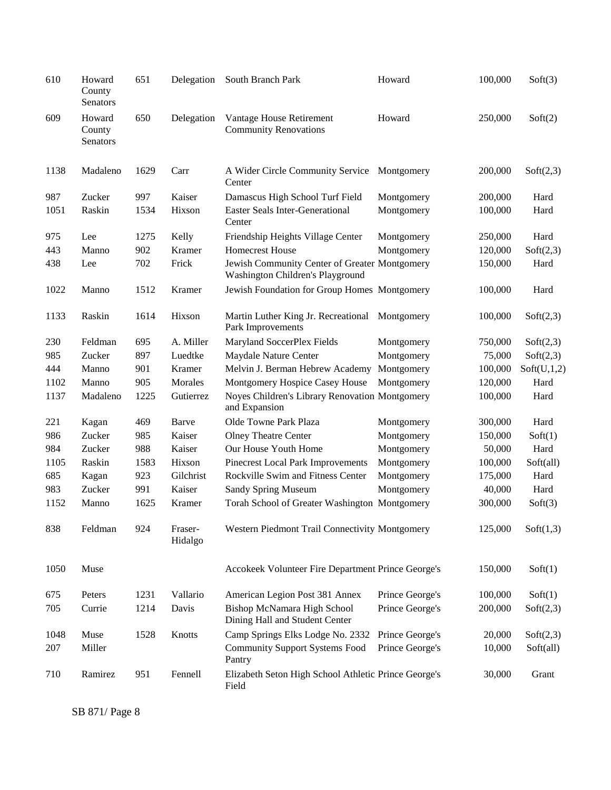| 610  | Howard<br>County<br>Senators | 651  | Delegation         | South Branch Park                                                                 | Howard          | 100,000 | Soft(3)     |
|------|------------------------------|------|--------------------|-----------------------------------------------------------------------------------|-----------------|---------|-------------|
| 609  | Howard<br>County<br>Senators | 650  | Delegation         | Vantage House Retirement<br><b>Community Renovations</b>                          | Howard          | 250,000 | Soft(2)     |
| 1138 | Madaleno                     | 1629 | Carr               | A Wider Circle Community Service<br>Center                                        | Montgomery      | 200,000 | Soft(2,3)   |
| 987  | Zucker                       | 997  | Kaiser             | Damascus High School Turf Field                                                   | Montgomery      | 200,000 | Hard        |
| 1051 | Raskin                       | 1534 | Hixson             | <b>Easter Seals Inter-Generational</b><br>Center                                  | Montgomery      | 100,000 | Hard        |
| 975  | Lee                          | 1275 | Kelly              | Friendship Heights Village Center                                                 | Montgomery      | 250,000 | Hard        |
| 443  | Manno                        | 902  | Kramer             | <b>Homecrest House</b>                                                            | Montgomery      | 120,000 | Soft(2,3)   |
| 438  | Lee                          | 702  | Frick              | Jewish Community Center of Greater Montgomery<br>Washington Children's Playground |                 | 150,000 | Hard        |
| 1022 | Manno                        | 1512 | Kramer             | Jewish Foundation for Group Homes Montgomery                                      |                 | 100,000 | Hard        |
| 1133 | Raskin                       | 1614 | Hixson             | Martin Luther King Jr. Recreational Montgomery<br>Park Improvements               |                 | 100,000 | Soft(2,3)   |
| 230  | Feldman                      | 695  | A. Miller          | Maryland SoccerPlex Fields                                                        | Montgomery      | 750,000 | Soft(2,3)   |
| 985  | Zucker                       | 897  | Luedtke            | Maydale Nature Center                                                             | Montgomery      | 75,000  | Soft(2,3)   |
| 444  | Manno                        | 901  | Kramer             | Melvin J. Berman Hebrew Academy                                                   | Montgomery      | 100,000 | Soft(U,1,2) |
| 1102 | Manno                        | 905  | Morales            | Montgomery Hospice Casey House                                                    | Montgomery      | 120,000 | Hard        |
| 1137 | Madaleno                     | 1225 | Gutierrez          | Noyes Children's Library Renovation Montgomery<br>and Expansion                   |                 | 100,000 | Hard        |
| 221  | Kagan                        | 469  | Barve              | Olde Towne Park Plaza                                                             | Montgomery      | 300,000 | Hard        |
| 986  | Zucker                       | 985  | Kaiser             | <b>Olney Theatre Center</b>                                                       | Montgomery      | 150,000 | Soft(1)     |
| 984  | Zucker                       | 988  | Kaiser             | Our House Youth Home                                                              | Montgomery      | 50,000  | Hard        |
| 1105 | Raskin                       | 1583 | Hixson             | Pinecrest Local Park Improvements                                                 | Montgomery      | 100,000 | Soft(all)   |
| 685  | Kagan                        | 923  | Gilchrist          | Rockville Swim and Fitness Center                                                 | Montgomery      | 175,000 | Hard        |
| 983  | Zucker                       | 991  | Kaiser             | Sandy Spring Museum                                                               | Montgomery      | 40,000  | Hard        |
| 1152 | Manno                        | 1625 | Kramer             | Torah School of Greater Washington Montgomery                                     |                 | 300,000 | Soft(3)     |
| 838  | Feldman                      | 924  | Fraser-<br>Hidalgo | Western Piedmont Trail Connectivity Montgomery                                    |                 | 125,000 | Soft(1,3)   |
| 1050 | Muse                         |      |                    | Accokeek Volunteer Fire Department Prince George's                                |                 | 150,000 | Soft(1)     |
| 675  | Peters                       | 1231 | Vallario           | American Legion Post 381 Annex                                                    | Prince George's | 100,000 | Soft(1)     |
| 705  | Currie                       | 1214 | Davis              | Bishop McNamara High School<br>Dining Hall and Student Center                     | Prince George's | 200,000 | Soft(2,3)   |
| 1048 | Muse                         | 1528 | Knotts             | Camp Springs Elks Lodge No. 2332                                                  | Prince George's | 20,000  | Soft(2,3)   |
| 207  | Miller                       |      |                    | <b>Community Support Systems Food</b><br>Pantry                                   | Prince George's | 10,000  | Soft(all)   |
| 710  | Ramirez                      | 951  | Fennell            | Elizabeth Seton High School Athletic Prince George's<br>Field                     |                 | 30,000  | Grant       |

SB 871/ Page 8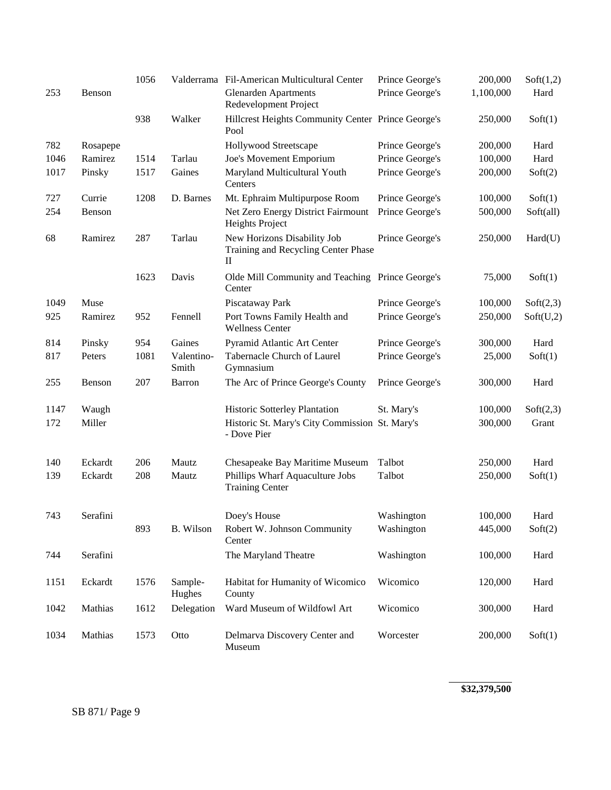|      |          | 1056 |                     | Valderrama Fil-American Multicultural Center                            | Prince George's | 200,000   | Soft(1,2) |
|------|----------|------|---------------------|-------------------------------------------------------------------------|-----------------|-----------|-----------|
| 253  | Benson   |      |                     | <b>Glenarden Apartments</b><br>Redevelopment Project                    | Prince George's | 1,100,000 | Hard      |
|      |          | 938  | Walker              | Hillcrest Heights Community Center Prince George's<br>Pool              |                 | 250,000   | Soft(1)   |
| 782  | Rosapepe |      |                     | Hollywood Streetscape                                                   | Prince George's | 200,000   | Hard      |
| 1046 | Ramirez  | 1514 | Tarlau              | Joe's Movement Emporium                                                 | Prince George's | 100,000   | Hard      |
| 1017 | Pinsky   | 1517 | Gaines              | Maryland Multicultural Youth<br>Centers                                 | Prince George's | 200,000   | Soft(2)   |
| 727  | Currie   | 1208 | D. Barnes           | Mt. Ephraim Multipurpose Room                                           | Prince George's | 100,000   | Soft(1)   |
| 254  | Benson   |      |                     | Net Zero Energy District Fairmount<br>Heights Project                   | Prince George's | 500,000   | Soft(all) |
| 68   | Ramirez  | 287  | Tarlau              | New Horizons Disability Job<br>Training and Recycling Center Phase<br>П | Prince George's | 250,000   | Hard(U)   |
|      |          | 1623 | Davis               | Olde Mill Community and Teaching Prince George's<br>Center              |                 | 75,000    | Soft(1)   |
| 1049 | Muse     |      |                     | Piscataway Park                                                         | Prince George's | 100,000   | Soft(2,3) |
| 925  | Ramirez  | 952  | Fennell             | Port Towns Family Health and<br><b>Wellness Center</b>                  | Prince George's | 250,000   | Soft(U,2) |
| 814  | Pinsky   | 954  | Gaines              | Pyramid Atlantic Art Center                                             | Prince George's | 300,000   | Hard      |
| 817  | Peters   | 1081 | Valentino-<br>Smith | Tabernacle Church of Laurel<br>Gymnasium                                | Prince George's | 25,000    | Soft(1)   |
| 255  | Benson   | 207  | Barron              | The Arc of Prince George's County                                       | Prince George's | 300,000   | Hard      |
| 1147 | Waugh    |      |                     | Historic Sotterley Plantation                                           | St. Mary's      | 100,000   | Soft(2,3) |
| 172  | Miller   |      |                     | Historic St. Mary's City Commission St. Mary's<br>- Dove Pier           |                 | 300,000   | Grant     |
| 140  | Eckardt  | 206  | Mautz               | Chesapeake Bay Maritime Museum                                          | Talbot          | 250,000   | Hard      |
| 139  | Eckardt  | 208  | Mautz               | Phillips Wharf Aquaculture Jobs<br><b>Training Center</b>               | Talbot          | 250,000   | Soft(1)   |
| 743  | Serafini |      |                     | Doey's House                                                            | Washington      | 100,000   | Hard      |
|      |          | 893  | B. Wilson           | Robert W. Johnson Community<br>Center                                   | Washington      | 445,000   | Soft(2)   |
| 744  | Serafini |      |                     | The Maryland Theatre                                                    | Washington      | 100,000   | Hard      |
| 1151 | Eckardt  | 1576 | Sample-<br>Hughes   | Habitat for Humanity of Wicomico<br>County                              | Wicomico        | 120,000   | Hard      |
| 1042 | Mathias  | 1612 | Delegation          | Ward Museum of Wildfowl Art                                             | Wicomico        | 300,000   | Hard      |
| 1034 | Mathias  | 1573 | Otto                | Delmarva Discovery Center and<br>Museum                                 | Worcester       | 200,000   | Soft(1)   |